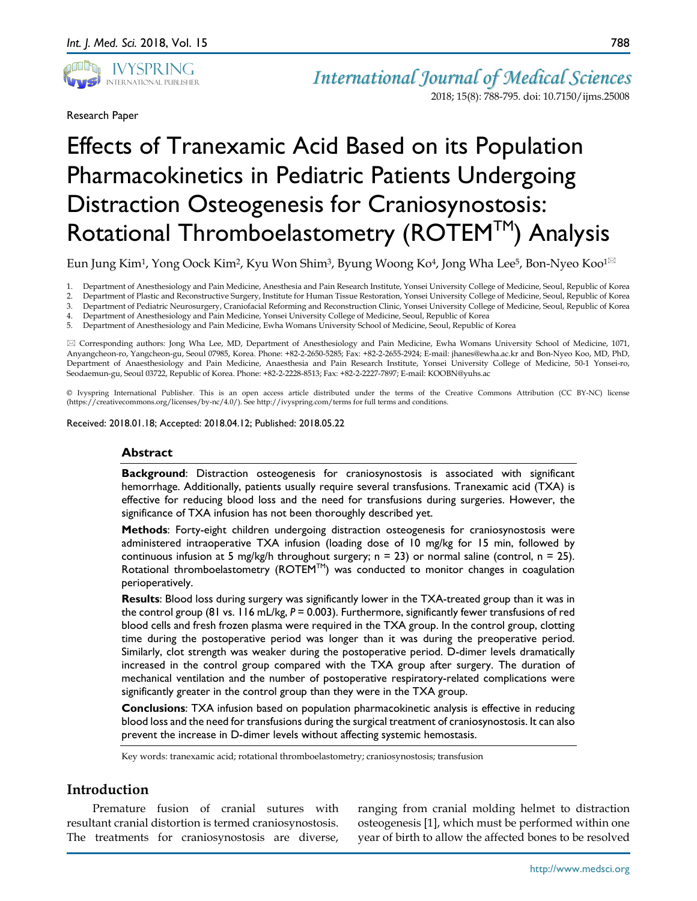

Research Paper

*International Journal of Medical Sciences* 2018; 15(8): 788-795. doi: 10.7150/ijms.25008

# Effects of Tranexamic Acid Based on its Population Pharmacokinetics in Pediatric Patients Undergoing Distraction Osteogenesis for Craniosynostosis: Rotational Thromboelastometry (ROTEM™) Analysis

Eun Jung Kim<sup>1</sup>, Yong Oock Kim<sup>2</sup>, Kyu Won Shim<sup>3</sup>, Byung Woong Ko<sup>4</sup>, Jong Wha Lee<sup>5</sup>, Bon-Nyeo Koo<sup>1 $\boxtimes$ </sup>

1. Department of Anesthesiology and Pain Medicine, Anesthesia and Pain Research Institute, Yonsei University College of Medicine, Seoul, Republic of Korea

2. Department of Plastic and Reconstructive Surgery, Institute for Human Tissue Restoration, Yonsei University College of Medicine, Seoul, Republic of Korea

3. Department of Pediatric Neurosurgery, Craniofacial Reforming and Reconstruction Clinic, Yonsei University College of Medicine, Seoul, Republic of Korea

4. Department of Anesthesiology and Pain Medicine, Yonsei University College of Medicine, Seoul, Republic of Korea

5. Department of Anesthesiology and Pain Medicine, Ewha Womans University School of Medicine, Seoul, Republic of Korea

 Corresponding authors: Jong Wha Lee, MD, Department of Anesthesiology and Pain Medicine, Ewha Womans University School of Medicine, 1071, Anyangcheon-ro, Yangcheon-gu, Seoul 07985, Korea. Phone: +82-2-2650-5285; Fax: +82-2-2655-2924; E-mail: jhanes@ewha.ac.kr and Bon-Nyeo Koo, MD, PhD, Department of Anaesthesiology and Pain Medicine, Anaesthesia and Pain Research Institute, Yonsei University College of Medicine, 50-1 Yonsei-ro, Seodaemun-gu, Seoul 03722, Republic of Korea. Phone: +82-2-2228-8513; Fax: +82-2-2227-7897; E-mail: KOOBN@yuhs.ac

© Ivyspring International Publisher. This is an open access article distributed under the terms of the Creative Commons Attribution (CC BY-NC) license (https://creativecommons.org/licenses/by-nc/4.0/). See http://ivyspring.com/terms for full terms and conditions.

Received: 2018.01.18; Accepted: 2018.04.12; Published: 2018.05.22

#### **Abstract**

**Background:** Distraction osteogenesis for craniosynostosis is associated with significant hemorrhage. Additionally, patients usually require several transfusions. Tranexamic acid (TXA) is effective for reducing blood loss and the need for transfusions during surgeries. However, the significance of TXA infusion has not been thoroughly described yet.

**Methods**: Forty-eight children undergoing distraction osteogenesis for craniosynostosis were administered intraoperative TXA infusion (loading dose of 10 mg/kg for 15 min, followed by continuous infusion at 5 mg/kg/h throughout surgery;  $n = 23$ ) or normal saline (control,  $n = 25$ ). Rotational thromboelastometry ( $ROTEM^{TM}$ ) was conducted to monitor changes in coagulation perioperatively.

**Results**: Blood loss during surgery was significantly lower in the TXA-treated group than it was in the control group (81 vs. 116 mL/kg,  $P = 0.003$ ). Furthermore, significantly fewer transfusions of red blood cells and fresh frozen plasma were required in the TXA group. In the control group, clotting time during the postoperative period was longer than it was during the preoperative period. Similarly, clot strength was weaker during the postoperative period. D-dimer levels dramatically increased in the control group compared with the TXA group after surgery. The duration of mechanical ventilation and the number of postoperative respiratory-related complications were significantly greater in the control group than they were in the TXA group.

**Conclusions**: TXA infusion based on population pharmacokinetic analysis is effective in reducing blood loss and the need for transfusions during the surgical treatment of craniosynostosis. It can also prevent the increase in D-dimer levels without affecting systemic hemostasis.

Key words: tranexamic acid; rotational thromboelastometry; craniosynostosis; transfusion

# **Introduction**

Premature fusion of cranial sutures with resultant cranial distortion is termed craniosynostosis. The treatments for craniosynostosis are diverse,

ranging from cranial molding helmet to distraction osteogenesis [1], which must be performed within one year of birth to allow the affected bones to be resolved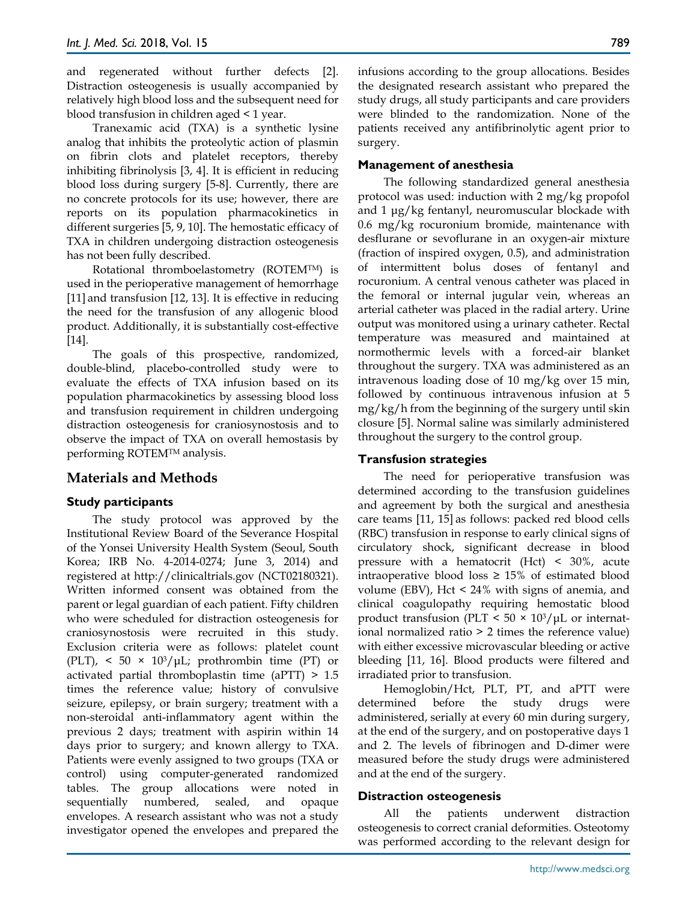and regenerated without further defects [2]. Distraction osteogenesis is usually accompanied by relatively high blood loss and the subsequent need for blood transfusion in children aged < 1 year.

Tranexamic acid (TXA) is a synthetic lysine analog that inhibits the proteolytic action of plasmin on fibrin clots and platelet receptors, thereby inhibiting fibrinolysis [3, 4]. It is efficient in reducing blood loss during surgery [5-8]. Currently, there are no concrete protocols for its use; however, there are reports on its population pharmacokinetics in different surgeries [5, 9, 10]. The hemostatic efficacy of TXA in children undergoing distraction osteogenesis has not been fully described.

Rotational thromboelastometry (ROTEMTM) is used in the perioperative management of hemorrhage [11] and transfusion [12, 13]. It is effective in reducing the need for the transfusion of any allogenic blood product. Additionally, it is substantially cost-effective [14].

The goals of this prospective, randomized, double-blind, placebo-controlled study were to evaluate the effects of TXA infusion based on its population pharmacokinetics by assessing blood loss and transfusion requirement in children undergoing distraction osteogenesis for craniosynostosis and to observe the impact of TXA on overall hemostasis by performing ROTEMTM analysis.

# **Materials and Methods**

## **Study participants**

The study protocol was approved by the Institutional Review Board of the Severance Hospital of the Yonsei University Health System (Seoul, South Korea; IRB No. 4-2014-0274; June 3, 2014) and registered at http://clinicaltrials.gov (NCT02180321). Written informed consent was obtained from the parent or legal guardian of each patient. Fifty children who were scheduled for distraction osteogenesis for craniosynostosis were recruited in this study. Exclusion criteria were as follows: platelet count (PLT),  $\langle$  50  $\times$  10<sup>3</sup>/µL; prothrombin time (PT) or activated partial thromboplastin time (aPTT) > 1.5 times the reference value; history of convulsive seizure, epilepsy, or brain surgery; treatment with a non-steroidal anti-inflammatory agent within the previous 2 days; treatment with aspirin within 14 days prior to surgery; and known allergy to TXA. Patients were evenly assigned to two groups (TXA or control) using computer-generated randomized tables. The group allocations were noted in sequentially numbered, sealed, and opaque envelopes. A research assistant who was not a study investigator opened the envelopes and prepared the

infusions according to the group allocations. Besides the designated research assistant who prepared the study drugs, all study participants and care providers were blinded to the randomization. None of the patients received any antifibrinolytic agent prior to surgery.

#### **Management of anesthesia**

The following standardized general anesthesia protocol was used: induction with 2 mg/kg propofol and 1 μg/kg fentanyl, neuromuscular blockade with 0.6 mg/kg rocuronium bromide, maintenance with desflurane or sevoflurane in an oxygen-air mixture (fraction of inspired oxygen, 0.5), and administration of intermittent bolus doses of fentanyl and rocuronium. A central venous catheter was placed in the femoral or internal jugular vein, whereas an arterial catheter was placed in the radial artery. Urine output was monitored using a urinary catheter. Rectal temperature was measured and maintained at normothermic levels with a forced-air blanket throughout the surgery. TXA was administered as an intravenous loading dose of 10 mg/kg over 15 min, followed by continuous intravenous infusion at 5 mg/kg/h from the beginning of the surgery until skin closure [5]. Normal saline was similarly administered throughout the surgery to the control group.

#### **Transfusion strategies**

The need for perioperative transfusion was determined according to the transfusion guidelines and agreement by both the surgical and anesthesia care teams [11, 15] as follows: packed red blood cells (RBC) transfusion in response to early clinical signs of circulatory shock, significant decrease in blood pressure with a hematocrit (Hct) < 30%, acute intraoperative blood loss  $\geq 15\%$  of estimated blood volume (EBV), Hct < 24% with signs of anemia, and clinical coagulopathy requiring hemostatic blood product transfusion (PLT <  $50 \times 10^3/\mu$ L or international normalized ratio > 2 times the reference value) with either excessive microvascular bleeding or active bleeding [11, 16]. Blood products were filtered and irradiated prior to transfusion.

Hemoglobin/Hct, PLT, PT, and aPTT were determined before the study drugs were administered, serially at every 60 min during surgery, at the end of the surgery, and on postoperative days 1 and 2. The levels of fibrinogen and D-dimer were measured before the study drugs were administered and at the end of the surgery.

#### **Distraction osteogenesis**

All the patients underwent distraction osteogenesis to correct cranial deformities. Osteotomy was performed according to the relevant design for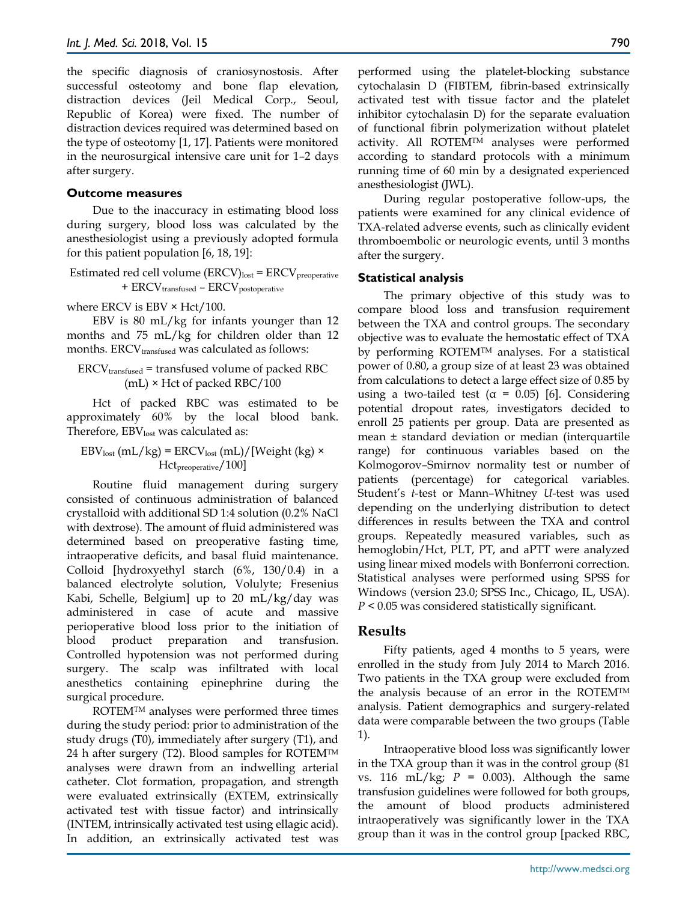the specific diagnosis of craniosynostosis. After successful osteotomy and bone flap elevation, distraction devices (Jeil Medical Corp., Seoul, Republic of Korea) were fixed. The number of distraction devices required was determined based on the type of osteotomy [1, 17]. Patients were monitored in the neurosurgical intensive care unit for 1–2 days after surgery.

#### **Outcome measures**

Due to the inaccuracy in estimating blood loss during surgery, blood loss was calculated by the anesthesiologist using a previously adopted formula for this patient population [6, 18, 19]:

Estimated red cell volume (ERCV)lost = ERCV<sub>preoperative</sub> + ERCV<sub>transfused</sub> – ERCV<sub>postoperative</sub>

where ERCV is EBV  $\times$  Hct/100.

EBV is 80 mL/kg for infants younger than 12 months and 75 mL/kg for children older than 12 months.  $ERCV<sub>transfused</sub>$  was calculated as follows:

$$
ERCV_{transfused} = transfused volume of packed RBC
$$

$$
(mL) \times Hct of packed RBC/100
$$

Hct of packed RBC was estimated to be approximately 60% by the local blood bank. Therefore,  $EBV_{lost}$  was calculated as:

 $EBV<sub>lost</sub> (mL/kg) = ERCV<sub>lost</sub> (mL)/[Weight (kg) ×$ Hct<sub>preoperative</sub>/100]

Routine fluid management during surgery consisted of continuous administration of balanced crystalloid with additional SD 1:4 solution (0.2% NaCl with dextrose). The amount of fluid administered was determined based on preoperative fasting time, intraoperative deficits, and basal fluid maintenance. Colloid [hydroxyethyl starch (6%, 130/0.4) in a balanced electrolyte solution, Volulyte; Fresenius Kabi, Schelle, Belgium] up to 20 mL/kg/day was administered in case of acute and massive perioperative blood loss prior to the initiation of blood product preparation and transfusion. Controlled hypotension was not performed during surgery. The scalp was infiltrated with local anesthetics containing epinephrine during the surgical procedure.

ROTEMTM analyses were performed three times during the study period: prior to administration of the study drugs (T0), immediately after surgery (T1), and 24 h after surgery (T2). Blood samples for ROTEM<sup>™</sup> analyses were drawn from an indwelling arterial catheter. Clot formation, propagation, and strength were evaluated extrinsically (EXTEM, extrinsically activated test with tissue factor) and intrinsically (INTEM, intrinsically activated test using ellagic acid). In addition, an extrinsically activated test was

performed using the platelet-blocking substance cytochalasin D (FIBTEM, fibrin-based extrinsically activated test with tissue factor and the platelet inhibitor cytochalasin D) for the separate evaluation of functional fibrin polymerization without platelet activity. All ROTEMTM analyses were performed according to standard protocols with a minimum running time of 60 min by a designated experienced anesthesiologist (JWL).

During regular postoperative follow-ups, the patients were examined for any clinical evidence of TXA-related adverse events, such as clinically evident thromboembolic or neurologic events, until 3 months after the surgery.

#### **Statistical analysis**

The primary objective of this study was to compare blood loss and transfusion requirement between the TXA and control groups. The secondary objective was to evaluate the hemostatic effect of TXA by performing ROTEMTM analyses. For a statistical power of 0.80, a group size of at least 23 was obtained from calculations to detect a large effect size of 0.85 by using a two-tailed test ( $\alpha$  = 0.05) [6]. Considering potential dropout rates, investigators decided to enroll 25 patients per group. Data are presented as mean ± standard deviation or median (interquartile range) for continuous variables based on the Kolmogorov–Smirnov normality test or number of patients (percentage) for categorical variables. Student's *t*-test or Mann–Whitney *U*-test was used depending on the underlying distribution to detect differences in results between the TXA and control groups. Repeatedly measured variables, such as hemoglobin/Hct, PLT, PT, and aPTT were analyzed using linear mixed models with Bonferroni correction. Statistical analyses were performed using SPSS for Windows (version 23.0; SPSS Inc., Chicago, IL, USA). *P* < 0.05 was considered statistically significant.

# **Results**

Fifty patients, aged 4 months to 5 years, were enrolled in the study from July 2014 to March 2016. Two patients in the TXA group were excluded from the analysis because of an error in the ROTEMTM analysis. Patient demographics and surgery-related data were comparable between the two groups (Table 1).

Intraoperative blood loss was significantly lower in the TXA group than it was in the control group (81 vs. 116 mL/kg;  $P = 0.003$ ). Although the same transfusion guidelines were followed for both groups, the amount of blood products administered intraoperatively was significantly lower in the TXA group than it was in the control group [packed RBC,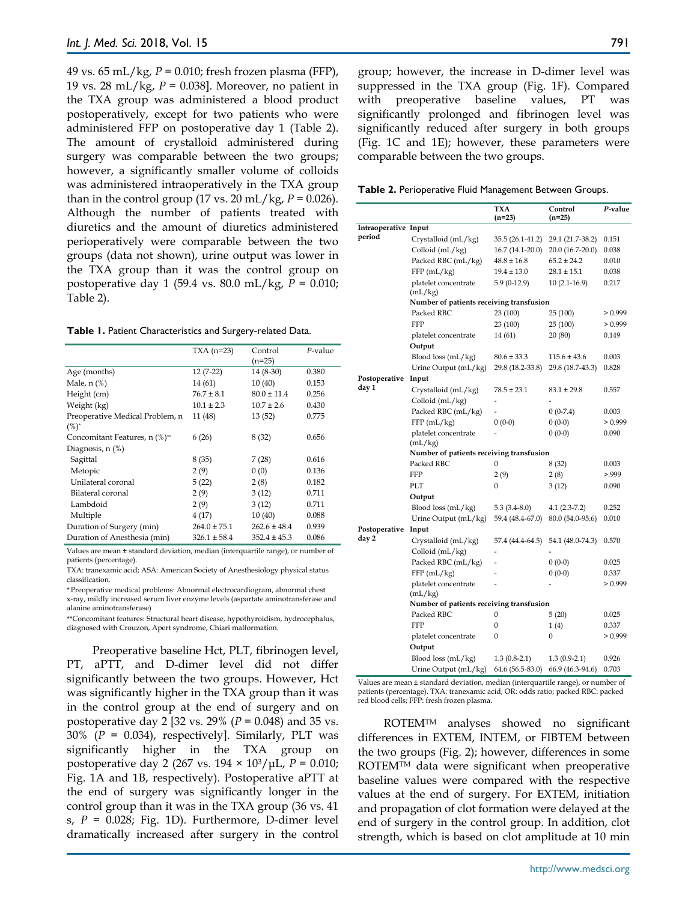49 vs. 65 mL/kg, *P* = 0.010; fresh frozen plasma (FFP), 19 vs. 28 mL/kg, *P* = 0.038]. Moreover, no patient in the TXA group was administered a blood product postoperatively, except for two patients who were administered FFP on postoperative day 1 (Table 2). The amount of crystalloid administered during surgery was comparable between the two groups; however, a significantly smaller volume of colloids was administered intraoperatively in the TXA group than in the control group (17 vs. 20 mL/kg,  $P = 0.026$ ). Although the number of patients treated with diuretics and the amount of diuretics administered perioperatively were comparable between the two groups (data not shown), urine output was lower in the TXA group than it was the control group on postoperative day 1 (59.4 vs. 80.0 mL/kg, *P* = 0.010; Table 2).

| Table 1. Patient Characteristics and Surgery-related Data. |  |  |
|------------------------------------------------------------|--|--|
|------------------------------------------------------------|--|--|

|                                            | $TXA(n=23)$      | Control<br>$(n=25)$ | $P$ -value |
|--------------------------------------------|------------------|---------------------|------------|
| Age (months)                               | $12(7-22)$       | 14 (8-30)           | 0.380      |
| Male, $n$ $%$                              | 14 (61)          | 10(40)              | 0.153      |
| Height (cm)                                | $76.7 \pm 8.1$   | $80.0 \pm 11.4$     | 0.256      |
| Weight (kg)                                | $10.1 \pm 2.3$   | $10.7 \pm 2.6$      | 0.430      |
| Preoperative Medical Problem, n<br>$(%)^*$ | 11 (48)          | 13(52)              | 0.775      |
| Concomitant Features, n (%)**              | 6(26)            | 8(32)               | 0.656      |
| Diagnosis, $n$ $(\%)$                      |                  |                     |            |
| Sagittal                                   | 8(35)            | 7(28)               | 0.616      |
| Metopic                                    | 2(9)             | 0(0)                | 0.136      |
| Unilateral coronal                         | 5(22)            | 2(8)                | 0.182      |
| Bilateral coronal                          | 2(9)             | 3(12)               | 0.711      |
| Lambdoid                                   | 2(9)             | 3(12)               | 0.711      |
| Multiple                                   | 4(17)            | 10(40)              | 0.088      |
| Duration of Surgery (min)                  | $264.0 \pm 75.1$ | $262.6 \pm 48.4$    | 0.939      |
| Duration of Anesthesia (min)               | $326.1 \pm 58.4$ | $352.4 \pm 45.3$    | 0.086      |

Values are mean ± standard deviation, median (interquartile range), or number of patients (percentage).

TXA: tranexamic acid; ASA: American Society of Anesthesiology physical status classification.

\* Preoperative medical problems: Abnormal electrocardiogram, abnormal chest x-ray, mildly increased serum liver enzyme levels (aspartate aminotransferase and alanine aminotransferase)

\*\*Concomitant features: Structural heart disease, hypothyroidism, hydrocephalus, diagnosed with Crouzon, Apert syndrome, Chiari malformation.

Preoperative baseline Hct, PLT, fibrinogen level, PT, aPTT, and D-dimer level did not differ significantly between the two groups. However, Hct was significantly higher in the TXA group than it was in the control group at the end of surgery and on postoperative day 2 [32 vs. 29% (*P* = 0.048) and 35 vs. 30% (*P* = 0.034), respectively]. Similarly, PLT was significantly higher in the TXA group on postoperative day 2 (267 vs. 194 × 103/μL, *P* = 0.010; Fig. 1A and 1B, respectively). Postoperative aPTT at the end of surgery was significantly longer in the control group than it was in the TXA group (36 vs. 41 s,  $P = 0.028$ ; Fig. 1D). Furthermore, D-dimer level dramatically increased after surgery in the control

group; however, the increase in D-dimer level was suppressed in the TXA group (Fig. 1F). Compared with preoperative baseline values, PT was significantly prolonged and fibrinogen level was significantly reduced after surgery in both groups (Fig. 1C and 1E); however, these parameters were comparable between the two groups.

**Table 2.** Perioperative Fluid Management Between Groups.

|                      |                                          | TXA<br>$(n=23)$  | Control<br>$(n=25)$ | P-value |  |
|----------------------|------------------------------------------|------------------|---------------------|---------|--|
| Intraoperative Input |                                          |                  |                     |         |  |
| period               | Crystalloid (mL/kg)                      | 35.5 (26.1-41.2) | 29.1 (21.7-38.2)    | 0.151   |  |
|                      | Colloid (mL/kg)                          | 16.7 (14.1-20.0) | 20.0 (16.7-20.0)    | 0.038   |  |
|                      | Packed RBC (mL/kg)                       | $48.8 \pm 16.8$  | $65.2 \pm 24.2$     | 0.010   |  |
|                      | FFP(mL/kg)                               | $19.4 \pm 13.0$  | $28.1 \pm 15.1$     | 0.038   |  |
|                      | platelet concentrate<br>(mL/kg)          | $5.9(0-12.9)$    | $10(2.1-16.9)$      | 0.217   |  |
|                      | Number of patients receiving transfusion |                  |                     |         |  |
|                      | Packed RBC                               | 23 (100)         | 25(100)             | > 0.999 |  |
|                      | <b>FFP</b>                               | 23 (100)         | 25(100)             | > 0.999 |  |
|                      | platelet concentrate                     | 14 (61)          | 20(80)              | 0.149   |  |
|                      | Output                                   |                  |                     |         |  |
|                      | Blood loss (mL/kg)                       | $80.6 \pm 33.3$  | $115.6 \pm 43.6$    | 0.003   |  |
|                      | Urine Output (mL/kg)                     | 29.8 (18.2-33.8) | 29.8 (18.7-43.3)    | 0.828   |  |
| Postoperative        | Input                                    |                  |                     |         |  |
| day 1                | Crystalloid (mL/kg)                      | $78.5 \pm 23.1$  | $83.1 \pm 29.8$     | 0.557   |  |
|                      | Colloid (mL/kg)                          |                  |                     |         |  |
|                      | Packed RBC (mL/kg)                       |                  | $0(0-7.4)$          | 0.003   |  |
|                      | FFP(mL/kg)                               | $0(0-0)$         | $0(0-0)$            | > 0.999 |  |
|                      | platelet concentrate<br>(mL/kg)          |                  | $0(0-0)$            | 0.090   |  |
|                      | Number of patients receiving transfusion |                  |                     |         |  |
|                      | Packed RBC                               | $\boldsymbol{0}$ | 8 (32)              | 0.003   |  |
|                      | <b>FFP</b>                               | 2(9)             | 2(8)                | > 999   |  |
|                      | PLT                                      | $\boldsymbol{0}$ | 3(12)               | 0.090   |  |
|                      | Output                                   |                  |                     |         |  |
|                      | Blood loss $(mL/kg)$                     | $5.3(3.4-8.0)$   | $4.1(2.3-7.2)$      | 0.252   |  |
|                      | Urine Output (mL/kg)                     | 59.4 (48.4-67.0) | 80.0 (54.0-95.6)    | 0.010   |  |
| Postoperative        | Input                                    |                  |                     |         |  |
| day 2                | Crystalloid (mL/kg)                      | 57.4 (44.4-64.5) | 54.1 (48.0-74.3)    | 0.570   |  |
|                      | Colloid (mL/kg)                          |                  |                     |         |  |
|                      | Packed RBC (mL/kg)                       |                  | $0(0-0)$            | 0.025   |  |
|                      | FFP(mL/kg)                               |                  | $0(0-0)$            | 0.337   |  |
|                      | platelet concentrate<br>(mL/kg)          |                  |                     | > 0.999 |  |
|                      | Number of patients receiving transfusion |                  |                     |         |  |
|                      | Packed RBC                               | 0                | 5(20)               | 0.025   |  |
|                      | <b>FFP</b>                               | $\boldsymbol{0}$ | 1(4)                | 0.337   |  |
|                      | platelet concentrate                     | $\boldsymbol{0}$ | $\boldsymbol{0}$    | > 0.999 |  |
|                      | Output                                   |                  |                     |         |  |
|                      | Blood loss (mL/kg)                       | $1.3(0.8-2.1)$   | $1.3(0.9-2.1)$      | 0.926   |  |
|                      | Urine Output (mL/kg)                     | 64.6 (56.5-83.0) | 66.9 (46.3-94.6)    | 0.703   |  |

Values are mean ± standard deviation, median (interquartile range), or number of patients (percentage). TXA: tranexamic acid; OR: odds ratio; packed RBC: packed red blood cells; FFP: fresh frozen plasma.

ROTEMTM analyses showed no significant differences in EXTEM, INTEM, or FIBTEM between the two groups (Fig. 2); however, differences in some ROTEM<sup>TM</sup> data were significant when preoperative baseline values were compared with the respective values at the end of surgery. For EXTEM, initiation and propagation of clot formation were delayed at the end of surgery in the control group. In addition, clot strength, which is based on clot amplitude at 10 min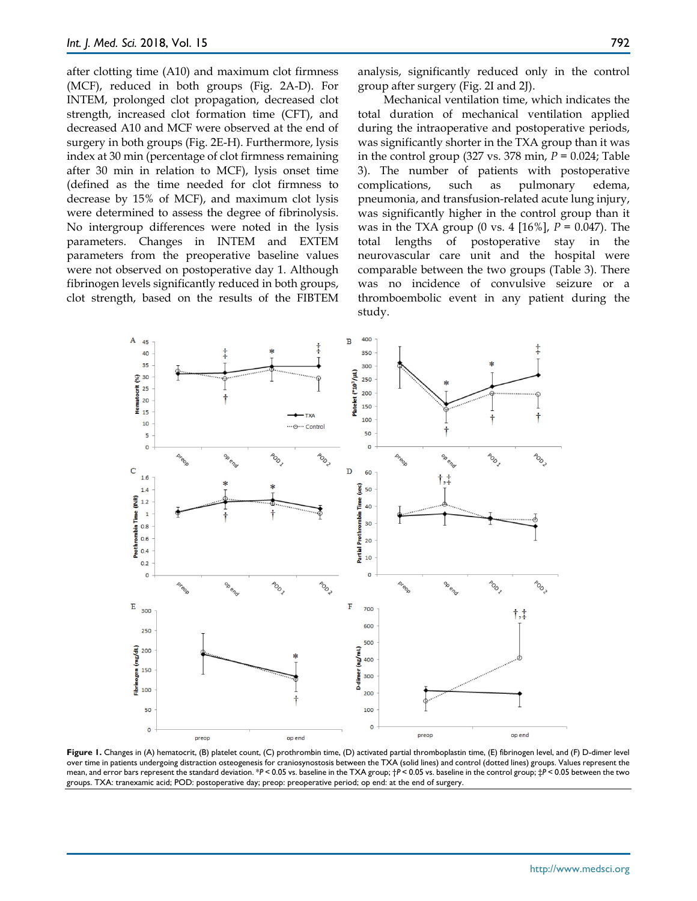after clotting time (A10) and maximum clot firmness (MCF), reduced in both groups (Fig. 2A-D). For INTEM, prolonged clot propagation, decreased clot strength, increased clot formation time (CFT), and decreased A10 and MCF were observed at the end of surgery in both groups (Fig. 2E-H). Furthermore, lysis index at 30 min (percentage of clot firmness remaining after 30 min in relation to MCF), lysis onset time (defined as the time needed for clot firmness to decrease by 15% of MCF), and maximum clot lysis were determined to assess the degree of fibrinolysis. No intergroup differences were noted in the lysis parameters. Changes in INTEM and EXTEM parameters from the preoperative baseline values were not observed on postoperative day 1. Although fibrinogen levels significantly reduced in both groups, clot strength, based on the results of the FIBTEM

analysis, significantly reduced only in the control group after surgery (Fig. 2I and 2J).

Mechanical ventilation time, which indicates the total duration of mechanical ventilation applied during the intraoperative and postoperative periods, was significantly shorter in the TXA group than it was in the control group (327 vs. 378 min, *P* = 0.024; Table 3). The number of patients with postoperative complications, such as pulmonary edema, pneumonia, and transfusion-related acute lung injury, was significantly higher in the control group than it was in the TXA group (0 vs. 4 [16%], *P* = 0.047). The total lengths of postoperative stay in the neurovascular care unit and the hospital were comparable between the two groups (Table 3). There was no incidence of convulsive seizure or a thromboembolic event in any patient during the study.



**Figure 1.** Changes in (A) hematocrit, (B) platelet count, (C) prothrombin time, (D) activated partial thromboplastin time, (E) fibrinogen level, and (F) D-dimer level over time in patients undergoing distraction osteogenesis for craniosynostosis between the TXA (solid lines) and control (dotted lines) groups. Values represent the mean, and error bars represent the standard deviation. \**P* < 0.05 vs. baseline in the TXA group; †*P* < 0.05 vs. baseline in the control group; ‡*P* < 0.05 between the two groups. TXA: tranexamic acid; POD: postoperative day; preop: preoperative period; op end: at the end of surgery.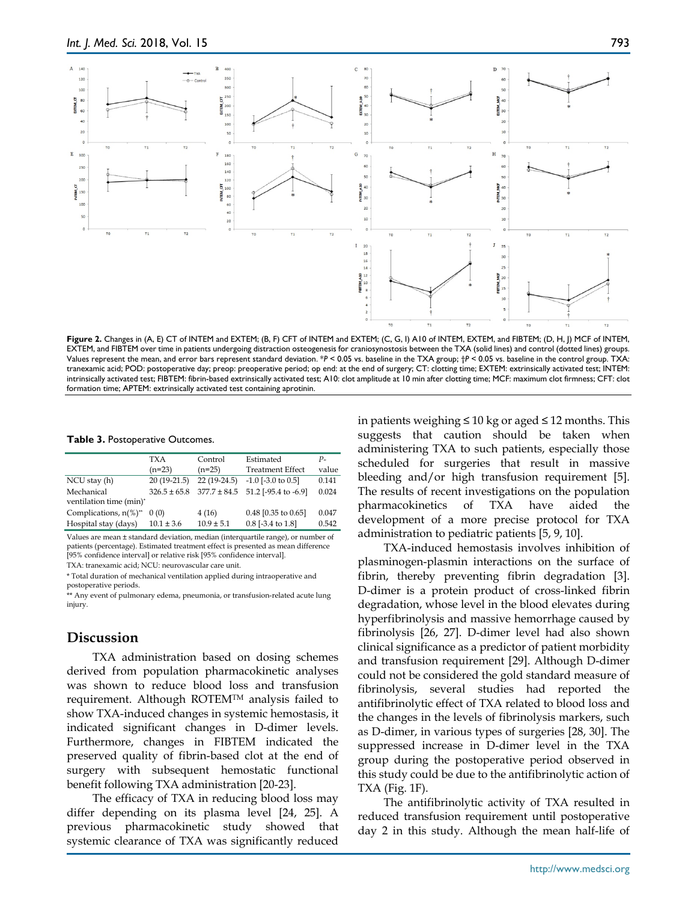

**Figure 2.** Changes in (A, E) CT of INTEM and EXTEM; (B, F) CFT of INTEM and EXTEM; (C, G, I) A10 of INTEM, EXTEM, and FIBTEM; (D, H, J) MCF of INTEM, EXTEM, and FIBTEM over time in patients undergoing distraction osteogenesis for craniosynostosis between the TXA (solid lines) and control (dotted lines) groups. Values represent the mean, and error bars represent standard deviation. \**P* < 0.05 vs. baseline in the TXA group; †*P* < 0.05 vs. baseline in the control group. TXA: tranexamic acid; POD: postoperative day; preop: preoperative period; op end: at the end of surgery; CT: clotting time; EXTEM: extrinsically activated test; INTEM: intrinsically activated test; FIBTEM: fibrin-based extrinsically activated test; A10: clot amplitude at 10 min after clotting time; MCF: maximum clot firmness; CFT: clot formation time; APTEM: extrinsically activated test containing aprotinin.

**Table 3.** Postoperative Outcomes.

|                                             | TXA              | Control<br>$(n=25)$ | Estimated<br><b>Treatment Effect</b>  | $P-$<br>value |
|---------------------------------------------|------------------|---------------------|---------------------------------------|---------------|
|                                             | $(n=23)$         |                     |                                       |               |
| NCU stay (h)                                | $20(19-21.5)$    | $22(19-24.5)$       | $-1.0$ [ $-3.0$ to 0.5]               | 0.141         |
| Mechanical                                  | $326.5 \pm 65.8$ |                     | $377.7 \pm 84.5$ 51.2 [-95.4 to -6.9] | 0.024         |
| ventilation time (min)*                     |                  |                     |                                       |               |
| Complications, $n\frac{9}{6}$ <sup>**</sup> | 0(0)             | 4(16)               | $0.48$ [0.35 to 0.65]                 | 0.047         |
| Hospital stay (days)                        | $10.1 \pm 3.6$   | $10.9 \pm 5.1$      | $0.8$ [-3.4 to 1.8]                   | 0.542         |

Values are mean ± standard deviation, median (interquartile range), or number of patients (percentage). Estimated treatment effect is presented as mean difference [95% confidence interval] or relative risk [95% confidence interval].

TXA: tranexamic acid; NCU: neurovascular care unit.

\* Total duration of mechanical ventilation applied during intraoperative and postoperative periods.

\*\* Any event of pulmonary edema, pneumonia, or transfusion-related acute lung injury.

## **Discussion**

TXA administration based on dosing schemes derived from population pharmacokinetic analyses was shown to reduce blood loss and transfusion requirement. Although ROTEMTM analysis failed to show TXA-induced changes in systemic hemostasis, it indicated significant changes in D-dimer levels. Furthermore, changes in FIBTEM indicated the preserved quality of fibrin-based clot at the end of surgery with subsequent hemostatic functional benefit following TXA administration [20-23].

The efficacy of TXA in reducing blood loss may differ depending on its plasma level [24, 25]. A previous pharmacokinetic study showed that systemic clearance of TXA was significantly reduced

in patients weighing ≤ 10 kg or aged ≤ 12 months. This suggests that caution should be taken when administering TXA to such patients, especially those scheduled for surgeries that result in massive bleeding and/or high transfusion requirement [5]. The results of recent investigations on the population pharmacokinetics of TXA have aided the development of a more precise protocol for TXA administration to pediatric patients [5, 9, 10].

TXA-induced hemostasis involves inhibition of plasminogen-plasmin interactions on the surface of fibrin, thereby preventing fibrin degradation [3]. D-dimer is a protein product of cross-linked fibrin degradation, whose level in the blood elevates during hyperfibrinolysis and massive hemorrhage caused by fibrinolysis [26, 27]. D-dimer level had also shown clinical significance as a predictor of patient morbidity and transfusion requirement [29]. Although D-dimer could not be considered the gold standard measure of fibrinolysis, several studies had reported the antifibrinolytic effect of TXA related to blood loss and the changes in the levels of fibrinolysis markers, such as D-dimer, in various types of surgeries [28, 30]. The suppressed increase in D-dimer level in the TXA group during the postoperative period observed in this study could be due to the antifibrinolytic action of TXA (Fig. 1F).

The antifibrinolytic activity of TXA resulted in reduced transfusion requirement until postoperative day 2 in this study. Although the mean half-life of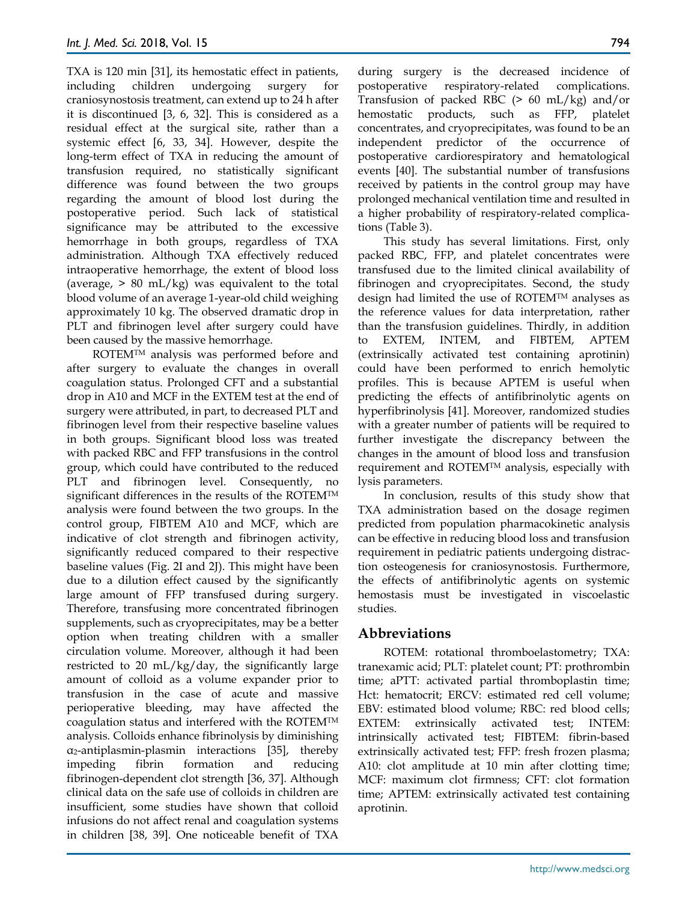TXA is 120 min [31], its hemostatic effect in patients, including children undergoing surgery for craniosynostosis treatment, can extend up to 24 h after it is discontinued [3, 6, 32]. This is considered as a residual effect at the surgical site, rather than a systemic effect [6, 33, 34]. However, despite the long-term effect of TXA in reducing the amount of transfusion required, no statistically significant difference was found between the two groups regarding the amount of blood lost during the postoperative period. Such lack of statistical significance may be attributed to the excessive hemorrhage in both groups, regardless of TXA administration. Although TXA effectively reduced intraoperative hemorrhage, the extent of blood loss (average,  $> 80$  mL/kg) was equivalent to the total blood volume of an average 1-year-old child weighing approximately 10 kg. The observed dramatic drop in PLT and fibrinogen level after surgery could have been caused by the massive hemorrhage.

ROTEM<sup>TM</sup> analysis was performed before and after surgery to evaluate the changes in overall coagulation status. Prolonged CFT and a substantial drop in A10 and MCF in the EXTEM test at the end of surgery were attributed, in part, to decreased PLT and fibrinogen level from their respective baseline values in both groups. Significant blood loss was treated with packed RBC and FFP transfusions in the control group, which could have contributed to the reduced PLT and fibrinogen level. Consequently, no significant differences in the results of the ROTEMTM analysis were found between the two groups. In the control group, FIBTEM A10 and MCF, which are indicative of clot strength and fibrinogen activity, significantly reduced compared to their respective baseline values (Fig. 2I and 2J). This might have been due to a dilution effect caused by the significantly large amount of FFP transfused during surgery. Therefore, transfusing more concentrated fibrinogen supplements, such as cryoprecipitates, may be a better option when treating children with a smaller circulation volume. Moreover, although it had been restricted to 20 mL/kg/day, the significantly large amount of colloid as a volume expander prior to transfusion in the case of acute and massive perioperative bleeding, may have affected the coagulation status and interfered with the ROTEMTM analysis. Colloids enhance fibrinolysis by diminishing α2-antiplasmin-plasmin interactions [35], thereby impeding fibrin formation and reducing fibrinogen-dependent clot strength [36, 37]. Although clinical data on the safe use of colloids in children are insufficient, some studies have shown that colloid infusions do not affect renal and coagulation systems in children [38, 39]. One noticeable benefit of TXA

during surgery is the decreased incidence of postoperative respiratory-related complications. Transfusion of packed RBC (> 60 mL/kg) and/or hemostatic products, such as FFP, platelet concentrates, and cryoprecipitates, was found to be an independent predictor of the occurrence of postoperative cardiorespiratory and hematological events [40]. The substantial number of transfusions received by patients in the control group may have prolonged mechanical ventilation time and resulted in a higher probability of respiratory-related complications (Table 3).

This study has several limitations. First, only packed RBC, FFP, and platelet concentrates were transfused due to the limited clinical availability of fibrinogen and cryoprecipitates. Second, the study design had limited the use of ROTEMTM analyses as the reference values for data interpretation, rather than the transfusion guidelines. Thirdly, in addition to EXTEM, INTEM, and FIBTEM, APTEM (extrinsically activated test containing aprotinin) could have been performed to enrich hemolytic profiles. This is because APTEM is useful when predicting the effects of antifibrinolytic agents on hyperfibrinolysis [41]. Moreover, randomized studies with a greater number of patients will be required to further investigate the discrepancy between the changes in the amount of blood loss and transfusion requirement and ROTEMTM analysis, especially with lysis parameters.

In conclusion, results of this study show that TXA administration based on the dosage regimen predicted from population pharmacokinetic analysis can be effective in reducing blood loss and transfusion requirement in pediatric patients undergoing distraction osteogenesis for craniosynostosis. Furthermore, the effects of antifibrinolytic agents on systemic hemostasis must be investigated in viscoelastic studies.

# **Abbreviations**

ROTEM: rotational thromboelastometry; TXA: tranexamic acid; PLT: platelet count; PT: prothrombin time; aPTT: activated partial thromboplastin time; Hct: hematocrit; ERCV: estimated red cell volume; EBV: estimated blood volume; RBC: red blood cells; EXTEM: extrinsically activated test; INTEM: intrinsically activated test; FIBTEM: fibrin-based extrinsically activated test; FFP: fresh frozen plasma; A10: clot amplitude at 10 min after clotting time; MCF: maximum clot firmness; CFT: clot formation time; APTEM: extrinsically activated test containing aprotinin.